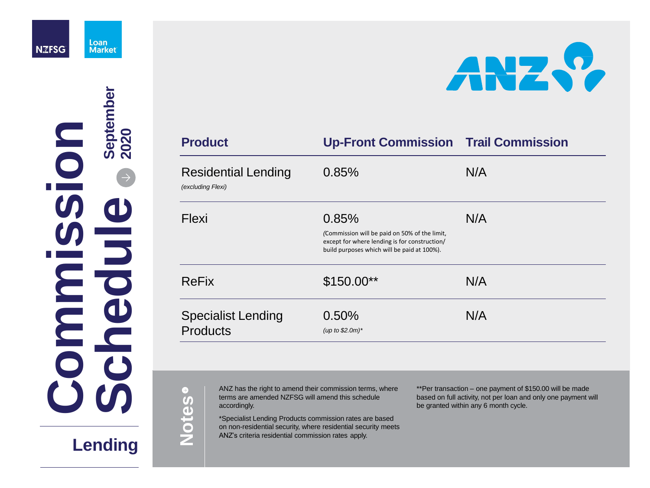

Loan **Market** 

# **Lending**

ANZ has the right to amend their commission terms, where terms are amended NZFSG will amend this schedule accordingly.

\*Specialist Lending Products commission rates are based on non-residential security, where residential security meets ANZ's criteria residential commission rates apply.



### **Commission Trail Commission**

### $N/A$

\*\*Per transaction – one payment of \$150.00 will be made based on full activity, not per loan and only one payment will be granted within any 6 month cycle.

 $\bullet$ **Notes**

 $\omega$ **ommi**i kacamatan ing Kabupatèn Ing **ssionchedueSeptember 2020**

| <b>Product</b>                                  | <b>Up-Front Commission</b>                                                                                                                    | Trai |
|-------------------------------------------------|-----------------------------------------------------------------------------------------------------------------------------------------------|------|
| <b>Residential Lending</b><br>(excluding Flexi) | 0.85%                                                                                                                                         | N/A  |
| <b>Flexi</b>                                    | 0.85%                                                                                                                                         | N/A  |
|                                                 | (Commission will be paid on 50% of the limit,<br>except for where lending is for construction/<br>build purposes which will be paid at 100%). |      |
| <b>ReFix</b>                                    | $$150.00**$                                                                                                                                   |      |
| <b>Specialist Lending</b>                       | 0.50%                                                                                                                                         | N/A  |
| <b>Products</b>                                 | (up to $$2.0m$ )*                                                                                                                             |      |

### N/A

### N/A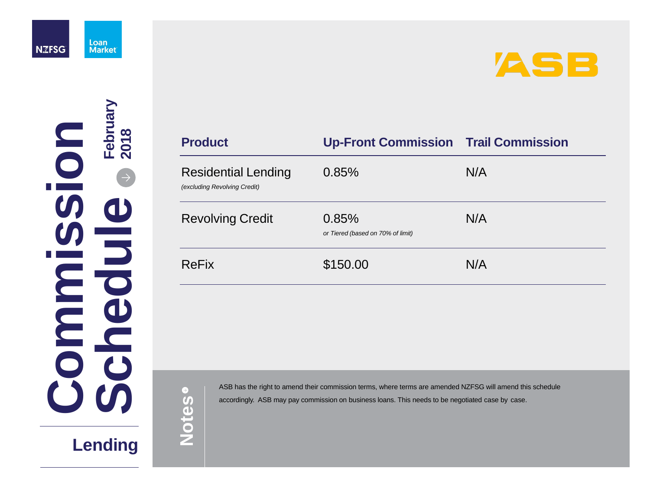

# **Lending**

ASB has the right to amend their commission terms, where terms are amended NZFSG will amend this schedule accordingly. ASB may pay commission on business loans. This needs to be negotiated case by case.



# **Commission Trail Commission**  $N/A$ *or Tiered (based on 70% of limit)* N/A

 $\bullet$ **Notes**

 $\omega$ **ommi**i kacamatan ing Kabupatèn Ing **ss eio ncheduFebruary 2018**

| <b>Product</b>                                             | <b>Up-Front Commission</b>                 | <b>Trai</b> |
|------------------------------------------------------------|--------------------------------------------|-------------|
| <b>Residential Lending</b><br>(excluding Revolving Credit) | 0.85%                                      | N/A         |
| <b>Revolving Credit</b>                                    | 0.85%<br>or Tiered (based on 70% of limit) | N/A         |
| <b>ReFix</b>                                               | \$150.00                                   |             |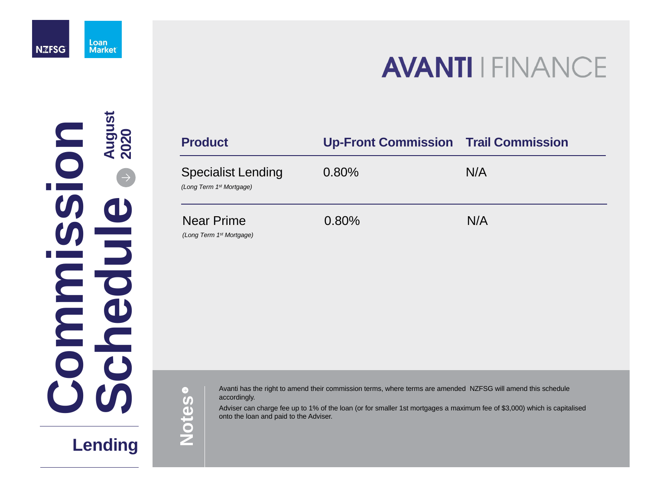

# **Lending**

Avanti has the right to amend their commission terms, where terms are amended NZFSG will amend this schedule accordingly.

Adviser can charge fee up to 1% of the loan (or for smaller 1st mortgages a maximum fee of \$3,000) which is capitalised onto the loan and paid to the Adviser.

# **AVANTI FINANCE**

### **Commission Trail Commission**

 $N/A$ 

### 0.80% N/A

 $\Theta$ **Notes**

 $\omega$ **ommi**i kacamatan ing Kabupatèn Ing **ssio nchedueAugust 2 020**

| <b>Product</b>                                                    | <b>Up-Front</b> |
|-------------------------------------------------------------------|-----------------|
| <b>Specialist Lending</b><br>(Long Term 1 <sup>st</sup> Mortgage) | $0.80\%$        |
| <b>Near Prime</b>                                                 | 0.80%           |

*(Long Term 1st Mortgage)*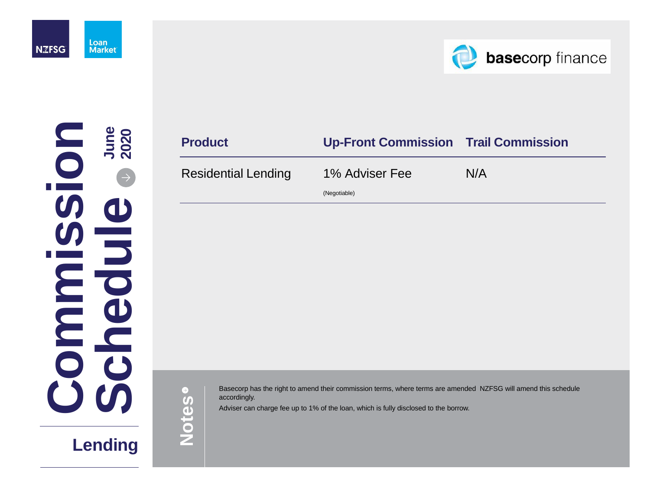Basecorp has the right to amend their commission terms, where terms are amended NZFSG will amend this schedule accordingly.

Adviser can charge fee up to 1% of the loan, which is fully disclosed to the borrow.



 $\bigodot$ **Notes**

### **Product Up-Front Commission Trail Commission**

Residential Lending 1% Adviser Fee

(Negotiable)

N/A



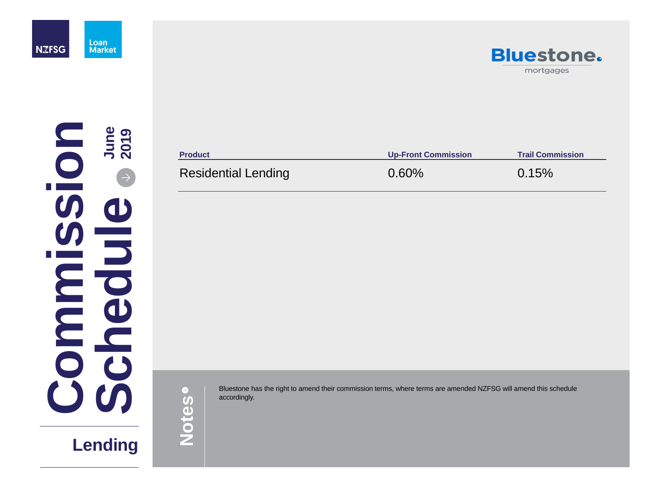Bluestone has the right to amend their commission terms, where terms are amended NZFSG will amend this schedule accordingly. accordingly.



**Product Up-Front Commission Trail Commission** 





**Notes**

### Residential Lending **0.60%** 0.15%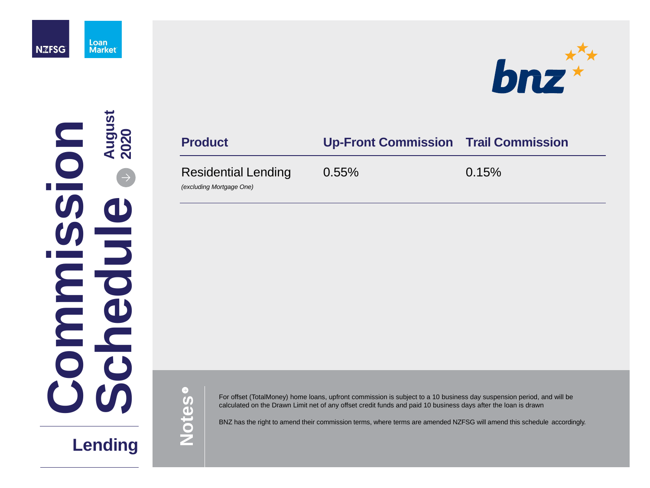

## **Lending**

For offset (TotalMoney) home loans, upfront commission is subject to a 10 business day suspension period, and will be calculated on the Drawn Limit net of any offset credit funds and paid 10 business days after the loan is drawn

### $\omega$ **ommi**i kacamatan ing Kabupatèn Ing **ssio nchedueAugust 2020**

BNZ has the right to amend their commission terms, where terms are amended NZFSG will amend this schedule accordingly.



### **Product Up-Front Commission Trail Commission**

### Residential Lending

*(excluding Mortgage One)*

0.55% 0.15%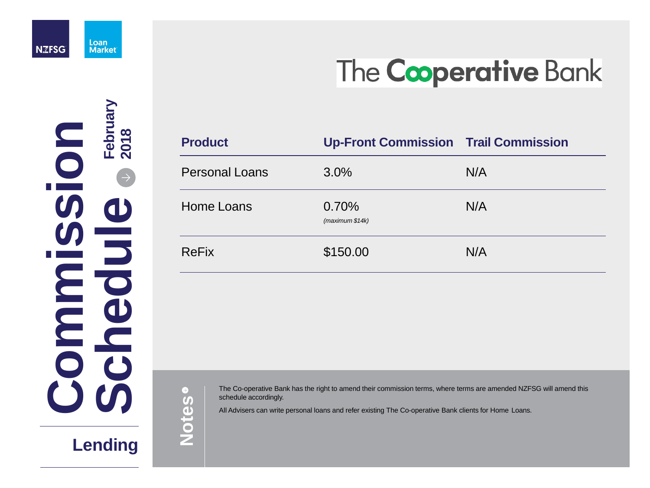

# The Cooperative Bank

# **Lending**

The Co-operative Bank has the right to amend their commission terms, where terms are amended NZFSG will amend this schedule accordingly.

All Advisers can write personal loans and refer existing The Co-operative Bank clients for Home Loans.

 $\bigodot$ **Notes**

 $\omega$ **ommi**i kacamatan ing Kabupatèn Ing **S s io nchedueFebruary 2018**

| <b>Product</b>        | <b>Up-Front Commission Trail Commission</b> |     |
|-----------------------|---------------------------------------------|-----|
| <b>Personal Loans</b> | $3.0\%$                                     | N/A |
| Home Loans            | 0.70%<br>(maximum \$14k)                    | N/A |
| <b>ReFix</b>          | \$150.00                                    | N/A |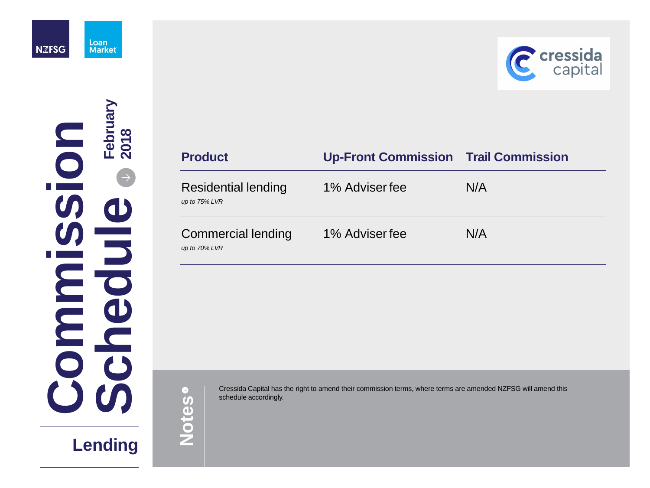

# **Lending**

Cressida Capital has the right to amend their commission terms, where terms are amended NZFSG will amend this schedule accordingly.



### **Product Up-Front Commission Trail Commission**

 $\Theta$ **Notes**

Residential lending

*up to 75% LVR*

| 1% Adviser fee | N/A |
|----------------|-----|
| 1% Adviser fee | N/A |

Commercial lending

*up to 70% LVR*

**C ommi**i kacamatan ing Kabupatèn Ing **ssio nSchedueFebruary 2 0 1 8**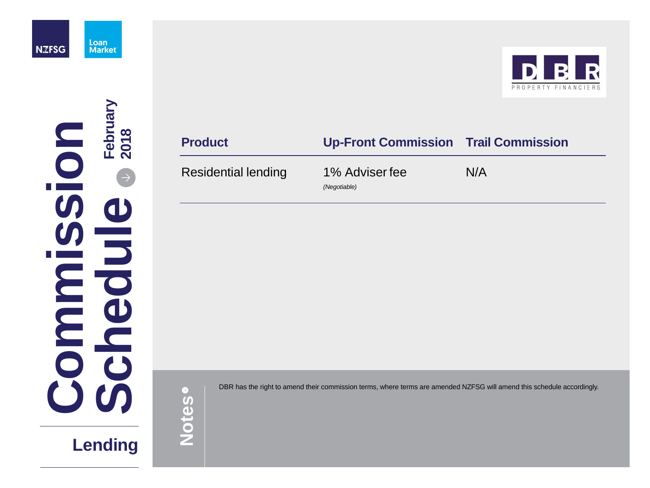DBR has the right to amend their commission terms, where terms are amended NZFSG will amend this schedule accordingly.



### **Product Up-Front Commission Trail Commission**

### Residential lending 1% Adviser fee

*(Negotiable)*

N/A



**C ommi**i kacamatan ing Kabupatèn Ing **ssio nSchedueFebruary 2018**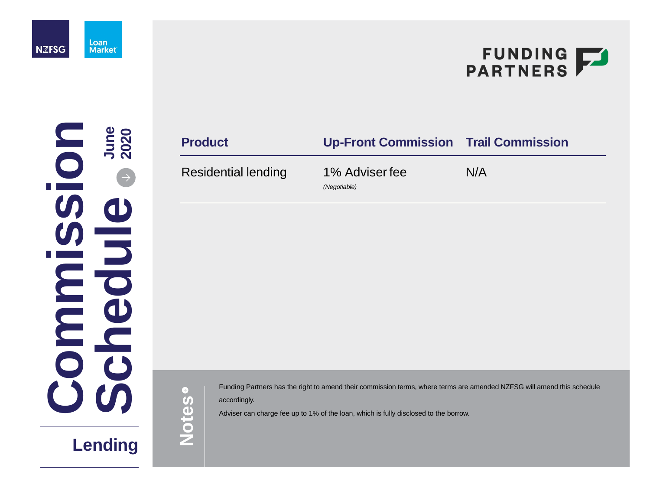Funding Partners has the right to amend their commission terms, where terms are amended NZFSG will amend this schedule accordingly.

Adviser can charge fee up to 1% of the loan, which is fully disclosed to the borrow.

# FUNDING FARTNERS

 $\bigodot$ **Notes**

### **Product Up-Front Commission Trail Commission**

### Residential lending 1% Adviser fee

*(Negotiable)*

N/A



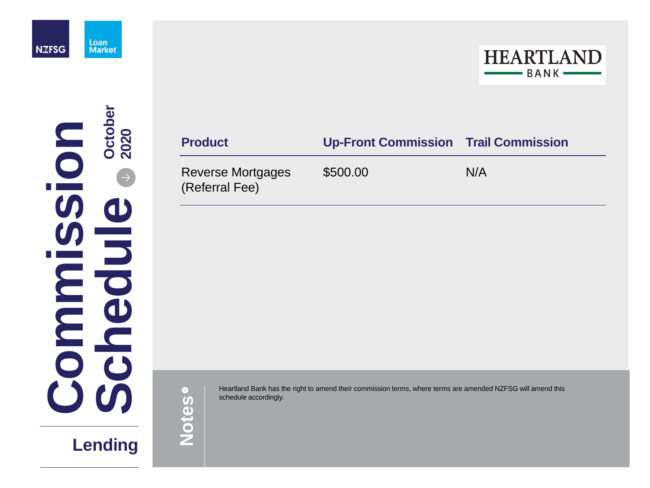

# **Lending**

Heartland Bank has the right to amend their commission terms, where terms are amended NZFSG will amend this schedule accordingly.



 $\bullet$ **Notes**

### **Product Up-Front Commission Trail Commission**

Reverse Mortgages (Referral Fee)

\$500.00 N/A

**C ommi**i kacamatan ing Kabupatèn Ing **ssio nSchedueOctober 2020**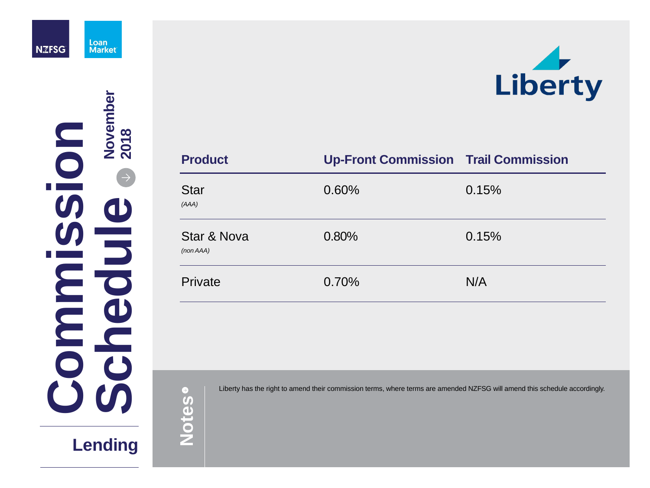

# **Lending**

| <b>Product</b>                      | <b>Up-Front Commission Trai</b> |      |
|-------------------------------------|---------------------------------|------|
| <b>Star</b><br>(AAA)                | 0.60%                           | 0.15 |
| <b>Star &amp; Nova</b><br>(non AAA) | 0.80%                           | 0.15 |
| Private                             | 0.70%                           | N/A  |



### **Commission Trail Commission**

0.15%

 $0.15%$ 

**C ommi**i kacamatan ing Kabupatèn Ing **S s io nSchedueNovember 2 0 1 8**

| Liberty ha | $\rightarrow$      |
|------------|--------------------|
|            | $\boldsymbol{U}_1$ |
|            |                    |
|            |                    |
|            |                    |
|            |                    |

as the right to amend their commission terms, where terms are amended NZFSG will amend this schedule accordingly.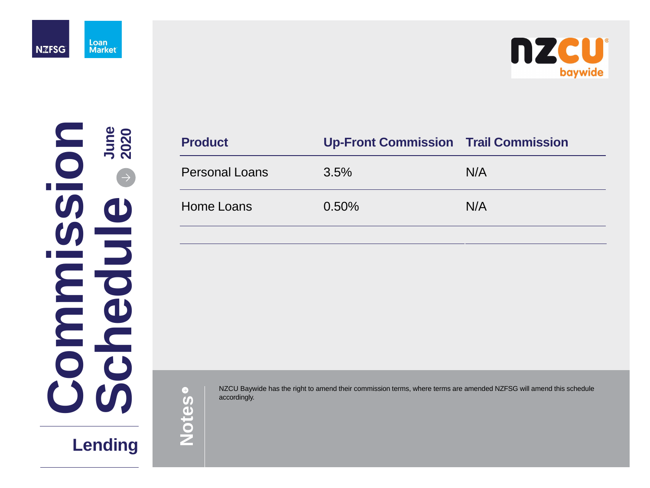A NZCU Baywide has the right to amend their commission terms, where terms are amended NZFSG will amend this schedule accordingly.



# **Commission Trail Commission**





| <b>Product</b>        | <b>Up-Front Commission Trai</b> |     |
|-----------------------|---------------------------------|-----|
| <b>Personal Loans</b> | $3.5\%$                         | N/A |
| <b>Home Loans</b>     | $0.50\%$                        | N/A |
|                       |                                 |     |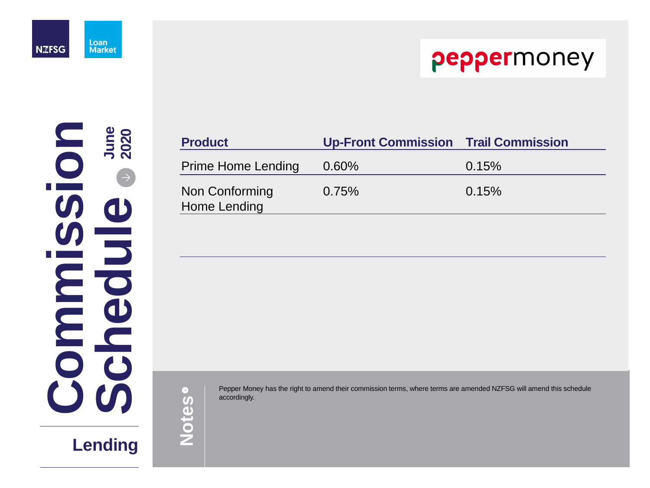Pepper Money has the right to amend their commission terms, where terms are amended NZFSG will amend this schedule accordingly.



### **Commission Trail Commission**

### $0.15%$

| <b>Product</b>                        | <b>Up-Front</b> |
|---------------------------------------|-----------------|
| <b>Prime Home Lending</b>             | $0.60\%$        |
| Non Conforming<br><b>Home Lending</b> | 0.75%           |

0.75% 0.15%



**C ommi**i kacamatan ing Kabupatèn Ing **ssio nSchedueJune 2020**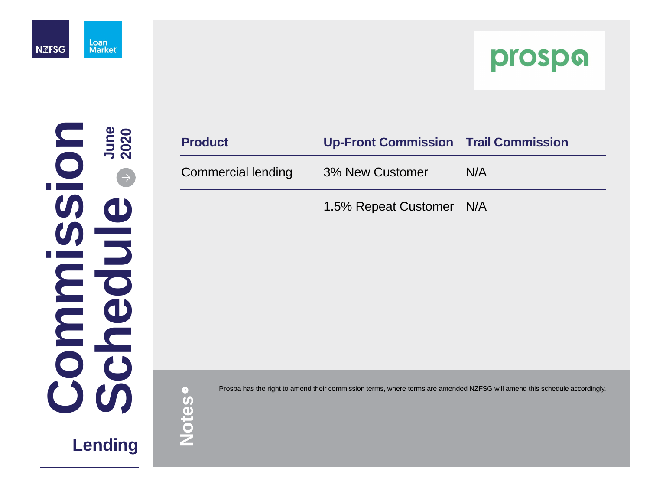



**Notes**

| <b>Product</b>            | <b>Up-Front Commission Trail Commission</b> |     |
|---------------------------|---------------------------------------------|-----|
| <b>Commercial lending</b> | <b>3% New Customer</b>                      | N/A |
|                           | 1.5% Repeat Customer N/A                    |     |
|                           |                                             |     |

Prospa has the right to amend their commission terms, where terms are amended NZFSG will amend this schedule accordingly.

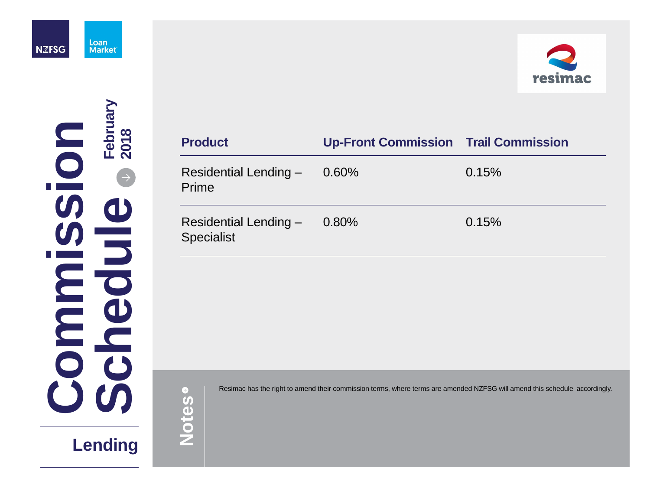

**Lending**

Resimac has the right to amend their commission terms, where terms are amended NZFSG will amend this schedule accordingly.



### **Commission Trail Commission**

 $0.15%$ 

### $0.15%$

| <b>Product</b>                                    | <b>Up-Front</b> |
|---------------------------------------------------|-----------------|
| <b>Residential Lending -</b><br>Prime             | $0.60\%$        |
| <b>Residential Lending -</b><br><b>Specialist</b> | $0.80\%$        |

**C ommi**i kacamatan ing Kabupatèn Ing **S**  $\overline{sp}$ **io nSchedueFebruary 2 0 1 8**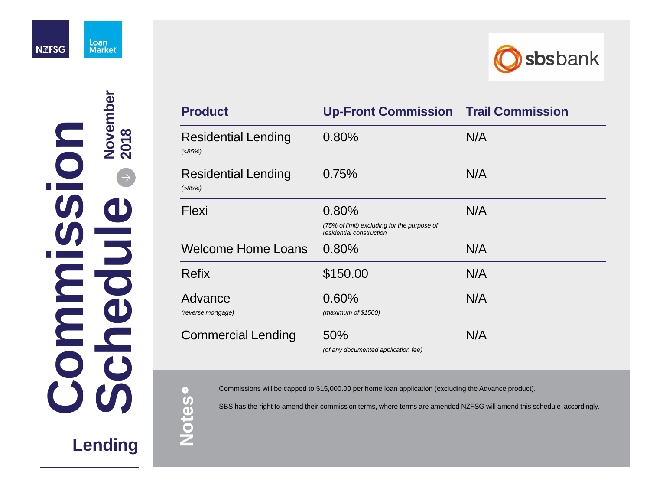

# **Lending**

Commissions will be capped to \$15,000.00 per home loan application (excluding the Advance product).

| <b>Product</b>                               | <b>Up-Front Commission Trail Commission</b>                                      |     |
|----------------------------------------------|----------------------------------------------------------------------------------|-----|
| <b>Residential Lending</b><br>( <b>85%</b> ) | 0.80%                                                                            | N/A |
| <b>Residential Lending</b><br>$( > 85\%)$    | 0.75%                                                                            | N/A |
| <b>Flexi</b>                                 | 0.80%<br>(75% of limit) excluding for the purpose of<br>residential construction | N/A |
| <b>Welcome Home Loans</b>                    | 0.80%                                                                            | N/A |
| <b>Refix</b>                                 | \$150.00                                                                         | N/A |
| Advance<br><i>(reverse mortgage)</i>         | 0.60%<br>(maximum of $$1500$ )                                                   | N/A |
| <b>Commercial Lending</b>                    | 50%<br>(of any documented application fee)                                       | N/A |

SBS has the right to amend their commission terms, where terms are amended NZFSG will amend this schedule accordingly.



|                           | November<br>2018                              |
|---------------------------|-----------------------------------------------|
|                           |                                               |
|                           | $\begin{pmatrix} 1 \\ 1 \end{pmatrix}$<br>CIS |
| $\bigcup$<br>$\mathbf{J}$ | $\mathbf C$<br>$\mathcal{C}$                  |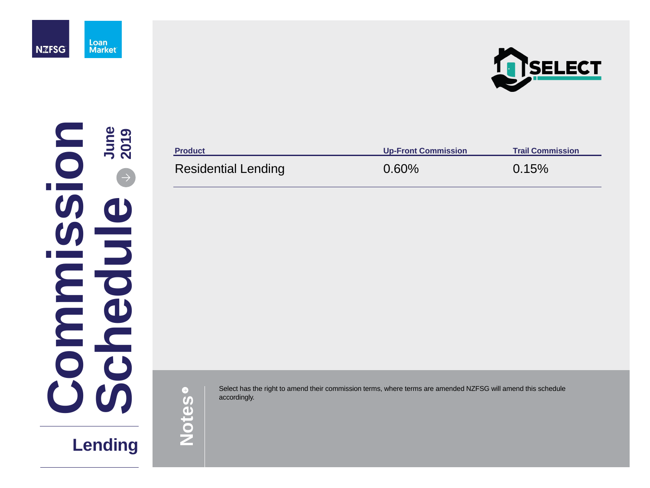Select has the right to amend their commission terms, where terms are amended NZFSG will amend this schedule accordingly. accordingly.







**Notes**

### Residential Lending **0.60%** 0.15%

**Product Up-Front Commission Trail Commission**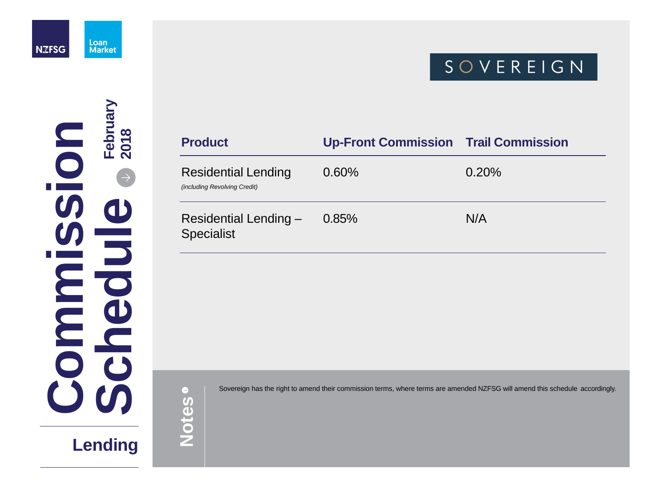

**Lending**

Sovereign has the right to amend their commission terms, where terms are amended NZFSG will amend this schedule accordingly.



### **Commission Trail Commission**

### 0.20%

### $N/A$

 $\bullet$ **Notes**

| <b>Product</b>                                                    | <b>Up-Front</b> |
|-------------------------------------------------------------------|-----------------|
| <b>Residential Lending</b><br><i>(including Revolving Credit)</i> | $0.60\%$        |
| <b>Residential Lending -</b><br><b>Specialist</b>                 | $0.85\%$        |

**C ommi**i kacamatan ing Kabupatèn Ing **ssio nScheduleFebruary 2018**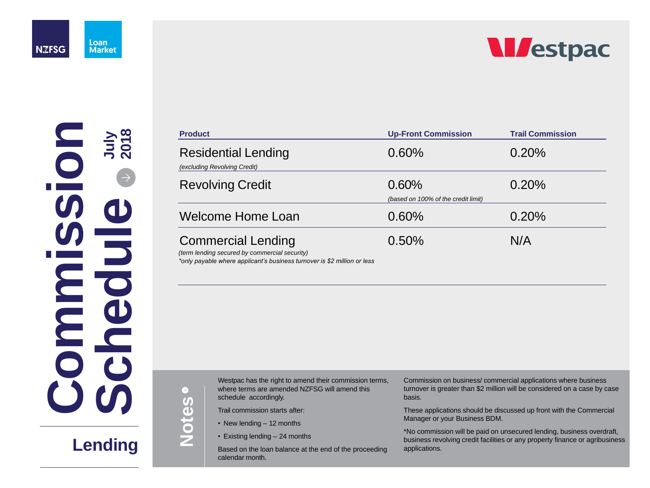

Loan **Market** 

# **Lending**

 $\left( \rightarrow \right)$ **Notes**



### Residential Lending

### **Revolving Credit**

### Welcome Home Loan

| <b>Product</b>                                                             | <b>Up-Front Commission</b>                   | <b>Trail Commission</b> |  |
|----------------------------------------------------------------------------|----------------------------------------------|-------------------------|--|
| <b>Residential Lending</b><br>(excluding Revolving Credit)                 | 0.60%                                        | 0.20%                   |  |
| <b>Revolving Credit</b>                                                    | 0.60%<br>(based on 100% of the credit limit) | 0.20%                   |  |
| <b>Welcome Home Loan</b>                                                   | 0.60%                                        | 0.20%                   |  |
| <b>Commercial Lending</b><br>(term lending secured by commercial security) | 0.50%                                        | N/A                     |  |

Westpac has the right to amend their commission terr where terms are amended NZFSG will amend this schedule accordingly.

### Commercial Lending

Based on the loan balance at the end of the proceeding calendar month.



*(term lending secured by commercial security) \*only payable where applicant's business turnover is \$2 million or less*

Trail commission starts after:

- New lending 12 months
- Existing lending 24 months

| ns, | Commission on business/commercial applications where business<br>turnover is greater than \$2 million will be considered on a case by case<br>basis.                   |
|-----|------------------------------------------------------------------------------------------------------------------------------------------------------------------------|
|     | These applications should be discussed up front with the Commercial<br>Manager or your Business BDM.                                                                   |
| ng  | *No commission will be paid on unsecured lending, business overdraft,<br>business revolving credit facilities or any property finance or agribusiness<br>applications. |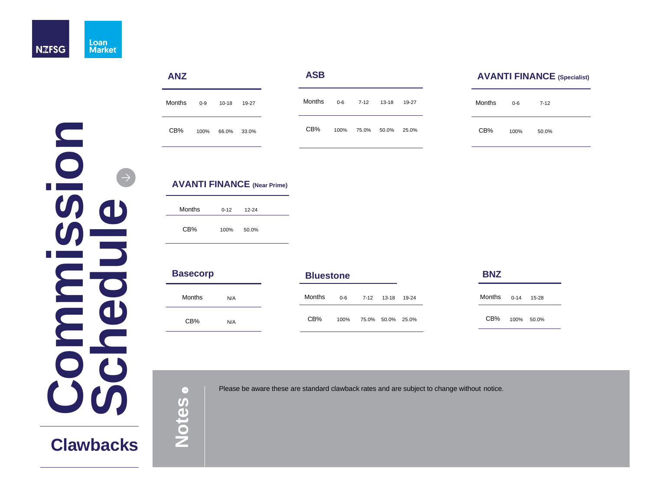

**Clawbacks**

Please be aware these are standard clawback rates and are subject to change without notice.

### **ANZ**

 $\bullet$ **Notes** **ASB**

| Months | $0-9$ | $10 - 18$ | 19-27 |
|--------|-------|-----------|-------|
| $CB\%$ | 100%  | 66.0%     | 33.0% |

**C**

**o**

**m**

**m**

**i**i kacamatan ing Kabupatèn Ing

**s**

**s**

**i**

**o**

**n**

**S**

**c**

**h**

**e**

**d**

**u**

**e**

 $\rightarrow$ 

### **AVANTI FINANCE (Specialist)**

| $13 - 18$   | 19-27 | Months 0-6 |      | $7 - 12$ |
|-------------|-------|------------|------|----------|
| 50.0% 25.0% |       | $CB\%$     | 100% | 50.0%    |

| Months  0-14  15-28<br>13-18 19-24 |  | <b>BNZ</b> |  |
|------------------------------------|--|------------|--|
|                                    |  |            |  |
| 100% 50.0%<br>50.0% 25.0%          |  | $CB\%$     |  |

| <b>Basecorp</b> |     | <b>Bluestone</b> |       |          |             |       |
|-----------------|-----|------------------|-------|----------|-------------|-------|
| <b>Months</b>   | N/A | <b>Months</b>    | $0-6$ | $7 - 12$ | $13 - 18$   | 19-24 |
| CB%             | N/A | CB%              | 100%  |          | 75.0% 50.0% | 25.0% |

### **AVANTI FINANCE (Near Prime)**

| <b>Months</b> | $0 - 12$ | $12 - 24$ |  |
|---------------|----------|-----------|--|
| $CB\%$        | 100%     | 50.0%     |  |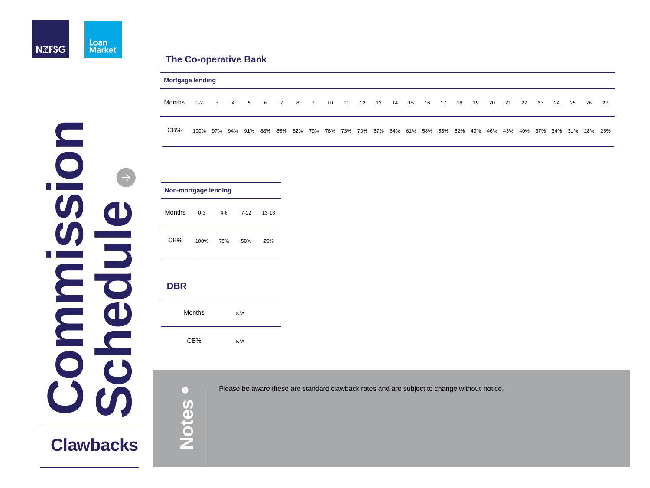

**Clawbacks**

Please be aware these are standard clawback rates and are subject to change without notice.

### **The Co-operative Bank**

|        | <b>Mortgage lending</b>                                                                                  |                         |                |  |  |       |  |     |  |            |  |  |            |    |    |    |    |    |    |    |    |    |    |       |  |
|--------|----------------------------------------------------------------------------------------------------------|-------------------------|----------------|--|--|-------|--|-----|--|------------|--|--|------------|----|----|----|----|----|----|----|----|----|----|-------|--|
| Months | $0 - 2$                                                                                                  | $\overline{\mathbf{3}}$ | $\overline{4}$ |  |  | 5 6 7 |  | 8 9 |  | 10  11  12 |  |  | 13  14  15 | 16 | 17 | 18 | 19 | 20 | 21 | 22 | 23 | 24 | 25 | 26 27 |  |
| $CB\%$ | 100% 97% 94% 91% 88% 85% 82% 79% 76% 73% 70% 67% 64% 61% 58% 55% 52% 49% 46% 43% 40% 37% 34% 31% 28% 25% |                         |                |  |  |       |  |     |  |            |  |  |            |    |    |    |    |    |    |    |    |    |    |       |  |

 $\bullet$ **Notes**

### **Non-mortgage lending**

| <b>Months</b> | $0 - 3$ | 4-6 | 7-12 | $13 - 18$ |
|---------------|---------|-----|------|-----------|
| $CB\%$        | 100%    | 75% | 50%  | 25%       |

**C**

**o**

**m**

**m**

**i**i kacamatan ing Kabupatèn Ing

**s**

**s**

**i**

**o**

**n**

**S**

**c**

**h**

**e**

**d**

**u**

**e**

### **DBR**

| <b>Months</b> | N/A |  |
|---------------|-----|--|
| CB%           | N/A |  |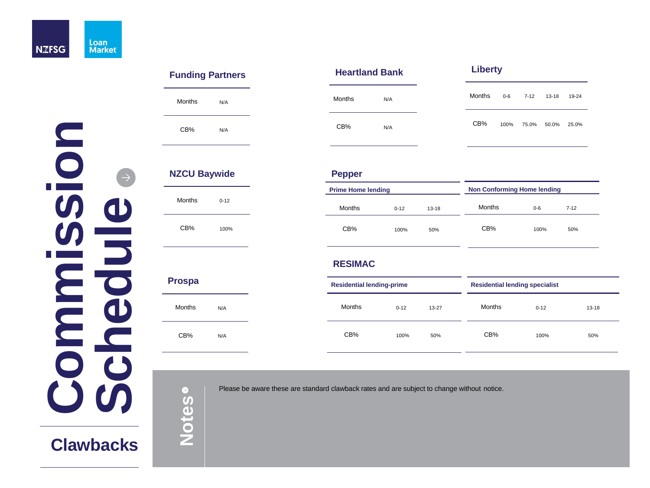## **Clawbacks**

Please be aware these are standard clawback rates and are subject to change without notice.

### **n o** $\rightarrow$ **isesui**i kacamatan ing Kabupatèn Ing **mdem ho cC S**

**RESIMAC**

**Residential lendi** Months

 $CB\%$ 

### **NZCU Baywide** Months 0-12 **Pepper** Months

**Notes**

| ing-prime |           |               | <b>Residential lending specialist</b> |           |  |  |  |
|-----------|-----------|---------------|---------------------------------------|-----------|--|--|--|
| $0 - 12$  | $13 - 27$ | <b>Months</b> | $0 - 12$                              | $13 - 18$ |  |  |  |
| 100%      | 50%       | CB%           | 100%                                  | 50%       |  |  |  |



### **Funding Partners**

### **Heartland Bank Liberty**

| Penner |  |
|--------|--|

**Prime Home lendi** 

 $CB\%$ 

| <b>Months</b> | N/A | <b>Months</b> | N/A | <b>Months</b> | $0 - 6$ | $7 - 12$ | $13 - 18$   | 19-24 |
|---------------|-----|---------------|-----|---------------|---------|----------|-------------|-------|
| CB%           | N/A | CB%           | N/A | CB%           | 100%    | 75.0%    | 50.0% 25.0% |       |

CB% 100%

# Months N/A

**Prospa**

CB% N/A

| ling     |           | <b>Non Conforming Home lending</b> |       |          |  |
|----------|-----------|------------------------------------|-------|----------|--|
| $0 - 12$ | $13 - 18$ | <b>Months</b>                      | $0-6$ | $7 - 12$ |  |
| 100%     | 50%       | CB%                                | 100%  | 50%      |  |